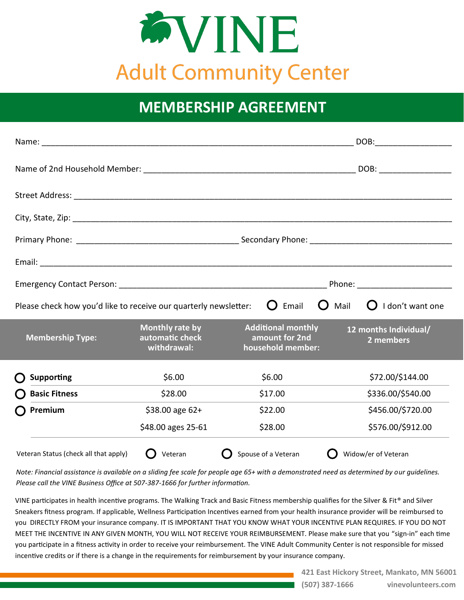

## **MEMBERSHIP AGREEMENT**

|                                                                                                                                                                                                                                |                                                   |                                                                  | DOB:                               |  |
|--------------------------------------------------------------------------------------------------------------------------------------------------------------------------------------------------------------------------------|---------------------------------------------------|------------------------------------------------------------------|------------------------------------|--|
|                                                                                                                                                                                                                                |                                                   |                                                                  |                                    |  |
|                                                                                                                                                                                                                                |                                                   |                                                                  |                                    |  |
|                                                                                                                                                                                                                                |                                                   |                                                                  |                                    |  |
|                                                                                                                                                                                                                                |                                                   |                                                                  |                                    |  |
|                                                                                                                                                                                                                                |                                                   |                                                                  |                                    |  |
| Phone: the contract of the contract of the contract of the contract of the contract of the contract of the contract of the contract of the contract of the contract of the contract of the contract of the contract of the con |                                                   |                                                                  |                                    |  |
| $\mathbf O$<br>Email<br>$\Omega$<br>Mail<br>I don't want one<br>$\blacksquare$<br>Please check how you'd like to receive our quarterly newsletter:                                                                             |                                                   |                                                                  |                                    |  |
| <b>Membership Type:</b>                                                                                                                                                                                                        | Monthly rate by<br>automatic check<br>withdrawal: | <b>Additional monthly</b><br>amount for 2nd<br>household member: | 12 months Individual/<br>2 members |  |
| <b>Supporting</b>                                                                                                                                                                                                              | \$6.00                                            | \$6.00                                                           | \$72.00/\$144.00                   |  |
| <b>Basic Fitness</b>                                                                                                                                                                                                           | \$28.00                                           | \$17.00                                                          | \$336.00/\$540.00                  |  |
| Premium                                                                                                                                                                                                                        | \$38.00 age 62+                                   | \$22.00                                                          | \$456.00/\$720.00                  |  |
|                                                                                                                                                                                                                                | \$48.00 ages 25-61                                | \$28.00                                                          | \$576.00/\$912.00                  |  |
| Veteran Status (check all that apply)                                                                                                                                                                                          | Veteran                                           | Spouse of a Veteran                                              | Widow/er of Veteran                |  |

*Note: Financial assistance is available on a sliding fee scale for people age 65+ with a demonstrated need as determined by our guidelines. Please call the VINE Business Office at 507-387-1666 for further information.* 

VINE participates in health incentive programs. The Walking Track and Basic Fitness membership qualifies for the Silver & Fit® and Silver Sneakers fitness program. If applicable, Wellness Participation Incentives earned from your health insurance provider will be reimbursed to you DIRECTLY FROM your insurance company. IT IS IMPORTANT THAT YOU KNOW WHAT YOUR INCENTIVE PLAN REQUIRES. IF YOU DO NOT MEET THE INCENTIVE IN ANY GIVEN MONTH, YOU WILL NOT RECEIVE YOUR REIMBURSEMENT. Please make sure that you "sign-in" each time you participate in a fitness activity in order to receive your reimbursement. The VINE Adult Community Center is not responsible for missed incentive credits or if there is a change in the requirements for reimbursement by your insurance company.

> **421 East Hickory Street, Mankato, MN 56001 (507) 387-1666 vinevolunteers.com**